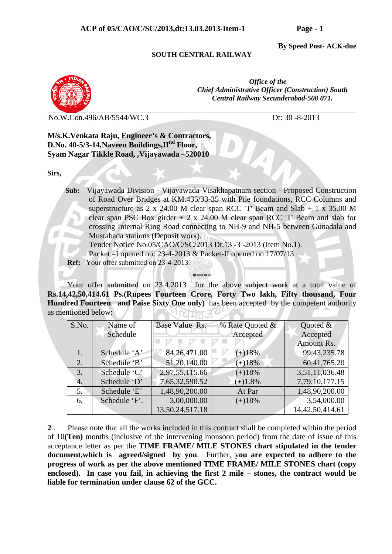**By Speed Post- ACK-due** 

## **SOUTH CENTRAL RAILWAY**



 *Office of the Chief Administrative Officer (Construction) South Central Railway Secunderabad-500 071.* 

No.W.Con.496/AB/5544/WC.3 Dt: 30 -8-2013

**M/s.K.Venkata Raju, Engineer's & Contractors, D.No. 40-5/3-14,Naveen Buildings,IInd Floor, Syam Nagar Tikkle Road, ,Vijayawada –520010** 

**Sirs,** 

 **Sub:** Vijayawada Division - Vijayawada-Visakhapatnam section - Proposed Construction of Road Over Bridges at KM.435/33-35 with Pile foundations, RCC Columns and superstructure as 2 x 24.00 M clear span RCC  $T$  Beam and Slab + 1 x 35.00 M clear span PSC Box girder  $+ 2 \times 24.00$  M clear span RCC 'T' Beam and slab for crossing Internal Ring Road connecting to NH-9 and NH-5 between Gunadala and Mustabada stations (Deposit work).

Tender Notice No.05/CAO/C/SC/2013 Dt.13 -3 -2013 (Item No.1).

Packet –I opened on: 23-4-2013 & Packet-II opened on 17/07/13

 **Ref:** Your offer submitted on 23-4-2013.

\*\*\*\*\*

 Your offer submitted on 23.4.2013 for the above subject work at a total value of **Rs.14,42,50,414.61 Ps.(Rupees Fourteen Crore, Forty Two lakh, Fifty thousand, Four Hundred Fourteen and Paise Sixty One only)** has been accepted by the competent authority as mentioned below:  $1007770$ 

| S.No. | Name of       | Base Value Rs.  | % Rate Quoted & | Quoted $\&$<br>Accepted |  |
|-------|---------------|-----------------|-----------------|-------------------------|--|
|       | Schedule      |                 | Accepted        |                         |  |
|       |               |                 |                 | Amount Rs.              |  |
|       | Schedule 'A'  | 84, 26, 471.00  | $(+)18%$        | 99, 43, 235. 78         |  |
| 2.    | Schedule 'B'  | 51,20,140.00    | $(+)18%$        | 60,41,765.20            |  |
| 3.    | Schedule 'C'  | 2,97,55,115.66  | $(+)18%$        | 3,51,11,036.48          |  |
| 4.    | Schedule 'D'  | 7,65,32,590.52  | $(+)1.8%$       | 7,79,10,177.15          |  |
| 5.    | Schedule 'E'  | 1,48,90,200.00  | At Par          | 1,48,90,200.00          |  |
| 6.    | Schedule 'F'. | 3,00,000.00     | $(+)18%$        | 3,54,000.00             |  |
|       |               | 13,50,24,517.18 |                 | 14,42,50,414.61         |  |

**2** . Please note that all the works included in this contract shall be completed within the period of 10**(Ten)** months (inclusive of the intervening monsoon period) from the date of issue of this acceptance letter as per the **TIME FRAME/ MILE STONES chart stipulated in the tender document,which is agreed/signed by you**. Further, y**ou are expected to adhere to the progress of work as per the above mentioned TIME FRAME/ MILE STONES chart (copy enclosed). In case you fail, in achieving the first 2 mile – stones, the contract would be liable for termination under clause 62 of the GCC.**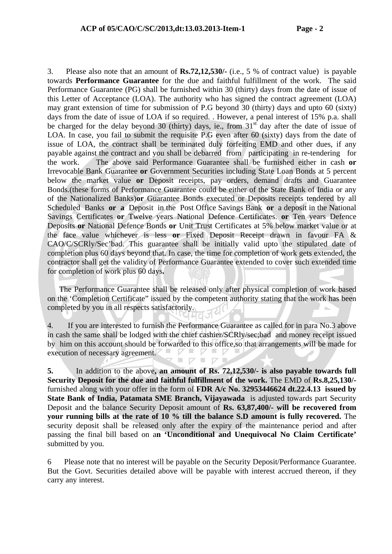3. Please also note that an amount of **Rs.72,12,530/-** (i.e., 5 % of contract value) is payable towards **Performance Guarantee** for the due and faithful fulfillment of the work. The said Performance Guarantee (PG) shall be furnished within 30 (thirty) days from the date of issue of this Letter of Acceptance (LOA). The authority who has signed the contract agreement (LOA) may grant extension of time for submission of P.G beyond 30 (thirty) days and upto 60 (sixty) days from the date of issue of LOA if so required. . However, a penal interest of 15% p.a. shall be charged for the delay beyond 30 (thirty) days, ie., from  $31<sup>st</sup>$  day after the date of issue of LOA. In case, you fail to submit the requisite P.G even after 60 (sixty) days from the date of issue of LOA, the contract shall be terminated duly forfeiting EMD and other dues, if any payable against the contract and you shall be debarred from participating in re-tendering for the work. The above said Performance Guarantee shall be furnished either in cash **or** Irrevocable Bank Guarantee **or** Government Securities including State Loan Bonds at 5 percent below the market value **or** Deposit receipts, pay orders, demand drafts and Guarantee Bonds.(these forms of Performance Guarantee could be either of the State Bank of India or any of the Nationalized Banks)**or** Guarantee Bonds executed or Deposits receipts tendered by all Scheduled Banks **or a** Deposit in the Post Office Savings Bank **or** a deposit in the National Savings Certificates **or** Twelve years National Defence Certificates. **or** Ten years Defence Deposits **or** National Defence Bonds **or** Unit Trust Certificates at 5% below market value or at the face value whichever is less **or** Fixed Deposit Receipt drawn in favour FA & CAO/C/SCRly/Sec'bad. This guarantee shall be initially valid upto the stipulated date of completion plus 60 days beyond that. In case, the time for completion of work gets extended, the contractor shall get the validity of Performance Guarantee extended to cover such extended time for completion of work plus 60 days**.**

The Performance Guarantee shall be released only after physical completion of work based on the 'Completion Certificate" issued by the competent authority stating that the work has been completed by you in all respects satisfactorily.

4.If you are interested to furnish the Performance Guarantee as called for in para No.3 above in cash the same shall be lodged with the chief cashier/SCRly/sec;bad and money receipt issued by him on this account should be forwarded to this office,so that arrangements will be made for  $\nabla \vdash$  $\nabla$ execution of necessary agreement. 

**5.** In addition to the above**, an amount of Rs. 72,12,530/- is also payable towards full Security Deposit for the due and faithful fulfillment of the work.** The EMD of **Rs.8,25,130/**  furnished along with your offer in the form of **FDR A/c No. 32953446624 dt.22.4.13 issued by State Bank of India, Patamata SME Branch, Vijayawada** is adjusted towards part Security Deposit and the balance Security Deposit amount of **Rs. 63,87,400/- will be recovered from your running bills at the rate of 10 % till the balance S.D amount is fully recovered.** The security deposit shall be released only after the expiry of the maintenance period and after passing the final bill based on a**n 'Unconditional and Unequivocal No Claim Certificate'**  submitted by you.

6 Please note that no interest will be payable on the Security Deposit/Performance Guarantee. But the Govt. Securities detailed above will be payable with interest accrued thereon, if they carry any interest.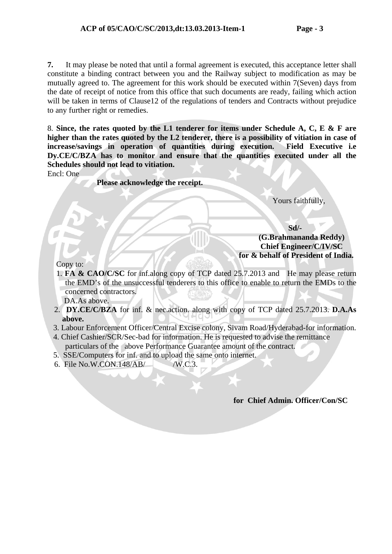**7.** It may please be noted that until a formal agreement is executed, this acceptance letter shall constitute a binding contract between you and the Railway subject to modification as may be mutually agreed to. The agreement for this work should be executed within 7(Seven) days from the date of receipt of notice from this office that such documents are ready, failing which action will be taken in terms of Clause12 of the regulations of tenders and Contracts without prejudice to any further right or remedies.

8. **Since, the rates quoted by the L1 tenderer for items under Schedule A, C, E & F are higher than the rates quoted by the L2 tenderer, there is a possibility of vitiation in case of increase/savings in operation of quantities during execution. Field Executive i.e Dy.CE/C/BZA has to monitor and ensure that the quantities executed under all the Schedules should not lead to vitiation.**

Encl: One

 **Please acknowledge the receipt.** 

Yours faithfully,

 **Sd/- (G.Brahmananda Reddy) Chief Engineer/C/IV/SC for & behalf of President of India.** 

Copy to:

1. **FA & CAO/C/SC** for inf.along copy of TCP dated 25.7.2013 and He may please return the EMD's of the unsuccessful tenderers to this office to enable to return the EMDs to the concerned contractors.

DA.As above.

- 2. **DY.CE/C/BZA** for inf. & nec.action. along with copy of TCP dated 25.7.2013. **D.A.As above.**
- 3. Labour Enforcement Officer/Central Excise colony, Sivam Road/Hyderabad-for information.
- 4. Chief Cashier/SCR/Sec-bad for information. He is requested to advise the remittance particulars of the above Performance Guarantee amount of the contract.
- 5. SSE/Computers for inf. and to upload the same onto internet.
- 6. File No.W.CON.148/AB/ /W.C.3.

## **for Chief Admin. Officer/Con/SC**